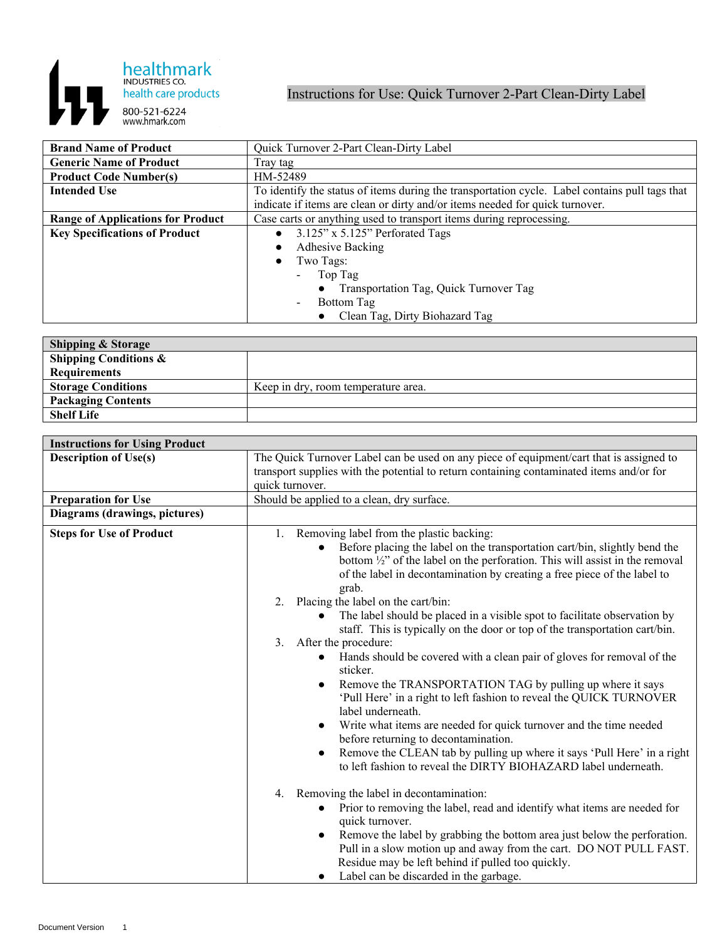

## Instructions for Use: Quick Turnover 2-Part Clean-Dirty Label

| <b>Brand Name of Product</b>             | Quick Turnover 2-Part Clean-Dirty Label                                                        |
|------------------------------------------|------------------------------------------------------------------------------------------------|
| <b>Generic Name of Product</b>           | Tray tag                                                                                       |
| <b>Product Code Number(s)</b>            | HM-52489                                                                                       |
| <b>Intended Use</b>                      | To identify the status of items during the transportation cycle. Label contains pull tags that |
|                                          | indicate if items are clean or dirty and/or items needed for quick turnover.                   |
| <b>Range of Applications for Product</b> | Case carts or anything used to transport items during reprocessing.                            |
| <b>Key Specifications of Product</b>     | $3.125$ " x $5.125$ " Perforated Tags                                                          |
|                                          | <b>Adhesive Backing</b>                                                                        |
|                                          | Two Tags:                                                                                      |
|                                          | Top Tag<br>$\overline{\phantom{0}}$                                                            |
|                                          | Transportation Tag, Quick Turnover Tag                                                         |
|                                          | Bottom Tag<br>$\blacksquare$                                                                   |
|                                          | Clean Tag, Dirty Biohazard Tag                                                                 |

| <b>Shipping &amp; Storage</b>    |                                     |
|----------------------------------|-------------------------------------|
| <b>Shipping Conditions &amp;</b> |                                     |
| <b>Requirements</b>              |                                     |
| <b>Storage Conditions</b>        | Keep in dry, room temperature area. |
| <b>Packaging Contents</b>        |                                     |
| <b>Shelf Life</b>                |                                     |

| <b>Instructions for Using Product</b> |                                                                                                                                                                                                                                                            |
|---------------------------------------|------------------------------------------------------------------------------------------------------------------------------------------------------------------------------------------------------------------------------------------------------------|
| <b>Description of Use(s)</b>          | The Quick Turnover Label can be used on any piece of equipment/cart that is assigned to<br>transport supplies with the potential to return containing contaminated items and/or for                                                                        |
|                                       | quick turnover.                                                                                                                                                                                                                                            |
| <b>Preparation for Use</b>            | Should be applied to a clean, dry surface.                                                                                                                                                                                                                 |
| Diagrams (drawings, pictures)         |                                                                                                                                                                                                                                                            |
| <b>Steps for Use of Product</b>       | Removing label from the plastic backing:<br>1.                                                                                                                                                                                                             |
|                                       | Before placing the label on the transportation cart/bin, slightly bend the<br>bottom $\frac{1}{2}$ " of the label on the perforation. This will assist in the removal<br>of the label in decontamination by creating a free piece of the label to<br>grab. |
|                                       | Placing the label on the cart/bin:<br>2.                                                                                                                                                                                                                   |
|                                       | The label should be placed in a visible spot to facilitate observation by<br>staff. This is typically on the door or top of the transportation cart/bin.                                                                                                   |
|                                       | After the procedure:<br>3.                                                                                                                                                                                                                                 |
|                                       | Hands should be covered with a clean pair of gloves for removal of the<br>sticker.                                                                                                                                                                         |
|                                       | Remove the TRANSPORTATION TAG by pulling up where it says<br>$\bullet$<br>'Pull Here' in a right to left fashion to reveal the QUICK TURNOVER<br>label underneath.                                                                                         |
|                                       | Write what items are needed for quick turnover and the time needed<br>$\bullet$<br>before returning to decontamination.                                                                                                                                    |
|                                       | Remove the CLEAN tab by pulling up where it says 'Pull Here' in a right<br>to left fashion to reveal the DIRTY BIOHAZARD label underneath.                                                                                                                 |
|                                       | Removing the label in decontamination:<br>4.                                                                                                                                                                                                               |
|                                       | Prior to removing the label, read and identify what items are needed for<br>quick turnover.                                                                                                                                                                |
|                                       | Remove the label by grabbing the bottom area just below the perforation.<br>$\bullet$                                                                                                                                                                      |
|                                       | Pull in a slow motion up and away from the cart. DO NOT PULL FAST.<br>Residue may be left behind if pulled too quickly.                                                                                                                                    |
|                                       | Label can be discarded in the garbage.                                                                                                                                                                                                                     |